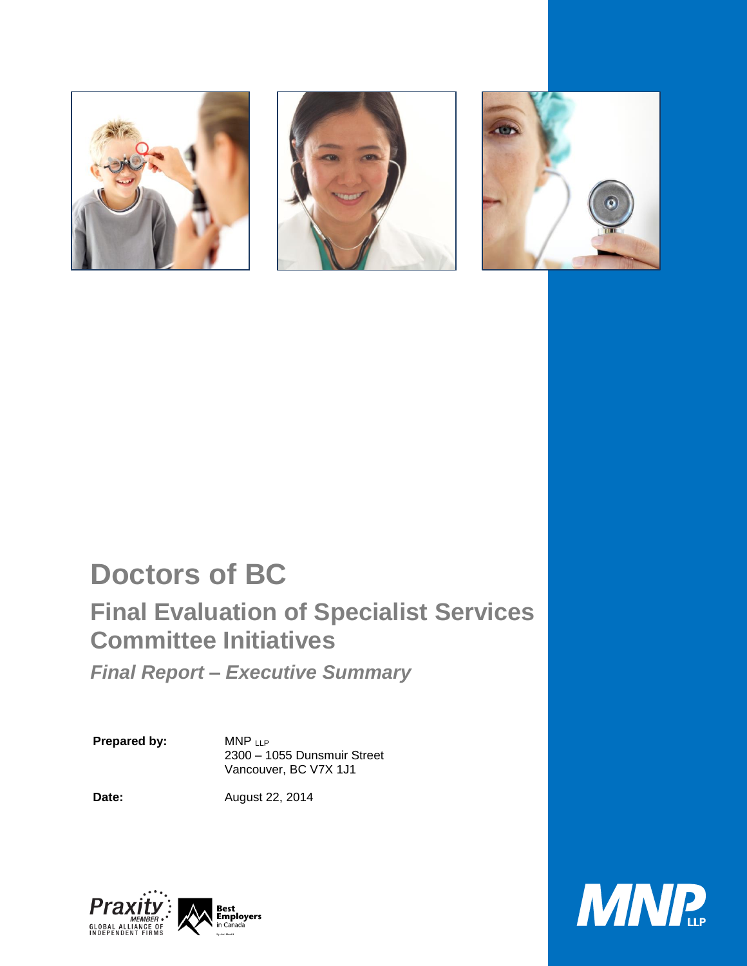





# **Doctors of BC**

## **Final Evaluation of Specialist Services Committee Initiatives**

*Final Report – Executive Summary* 

**Prepared by:** MNP LLP

2300 – 1055 Dunsmuir Street Vancouver, BC V7X 1J1

**Date:** August 22, 2014



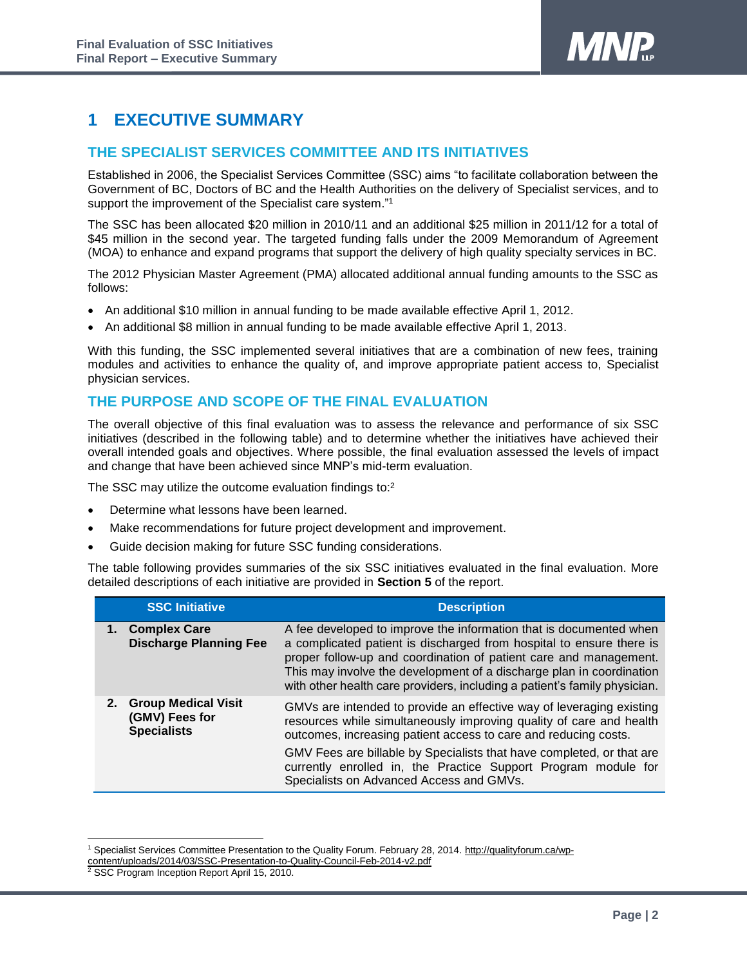

### **1 EXECUTIVE SUMMARY**

#### **THE SPECIALIST SERVICES COMMITTEE AND ITS INITIATIVES**

Established in 2006, the Specialist Services Committee (SSC) aims "to facilitate collaboration between the Government of BC, Doctors of BC and the Health Authorities on the delivery of Specialist services, and to support the improvement of the Specialist care system."<sup>1</sup>

The SSC has been allocated \$20 million in 2010/11 and an additional \$25 million in 2011/12 for a total of \$45 million in the second year. The targeted funding falls under the 2009 Memorandum of Agreement (MOA) to enhance and expand programs that support the delivery of high quality specialty services in BC.

The 2012 Physician Master Agreement (PMA) allocated additional annual funding amounts to the SSC as follows:

- An additional \$10 million in annual funding to be made available effective April 1, 2012.
- An additional \$8 million in annual funding to be made available effective April 1, 2013.

With this funding, the SSC implemented several initiatives that are a combination of new fees, training modules and activities to enhance the quality of, and improve appropriate patient access to, Specialist physician services.

#### **THE PURPOSE AND SCOPE OF THE FINAL EVALUATION**

The overall objective of this final evaluation was to assess the relevance and performance of six SSC initiatives (described in the following table) and to determine whether the initiatives have achieved their overall intended goals and objectives. Where possible, the final evaluation assessed the levels of impact and change that have been achieved since MNP's mid-term evaluation.

The SSC may utilize the outcome evaluation findings to:<sup>2</sup>

- Determine what lessons have been learned.
- Make recommendations for future project development and improvement.
- Guide decision making for future SSC funding considerations.

The table following provides summaries of the six SSC initiatives evaluated in the final evaluation. More detailed descriptions of each initiative are provided in **Section 5** of the report.

| <b>SSC Initiative</b>                                          | <b>Description</b>                                                                                                                                                                                                                                                                                                                                                                                    |
|----------------------------------------------------------------|-------------------------------------------------------------------------------------------------------------------------------------------------------------------------------------------------------------------------------------------------------------------------------------------------------------------------------------------------------------------------------------------------------|
| 1. Complex Care<br><b>Discharge Planning Fee</b>               | A fee developed to improve the information that is documented when<br>a complicated patient is discharged from hospital to ensure there is<br>proper follow-up and coordination of patient care and management.<br>This may involve the development of a discharge plan in coordination<br>with other health care providers, including a patient's family physician.                                  |
| 2. Group Medical Visit<br>(GMV) Fees for<br><b>Specialists</b> | GMVs are intended to provide an effective way of leveraging existing<br>resources while simultaneously improving quality of care and health<br>outcomes, increasing patient access to care and reducing costs.<br>GMV Fees are billable by Specialists that have completed, or that are<br>currently enrolled in, the Practice Support Program module for<br>Specialists on Advanced Access and GMVs. |

l

<sup>1</sup> Specialist Services Committee Presentation to the Quality Forum. February 28, 2014. [http://qualityforum.ca/wp-](http://qualityforum.ca/wp-content/uploads/2014/03/SSC-Presentation-to-Quality-Council-Feb-2014-v2.pdf)

[content/uploads/2014/03/SSC-Presentation-to-Quality-Council-Feb-2014-v2.pdf](http://qualityforum.ca/wp-content/uploads/2014/03/SSC-Presentation-to-Quality-Council-Feb-2014-v2.pdf)

<sup>&</sup>lt;sup>2</sup> SSC Program Inception Report April 15, 2010.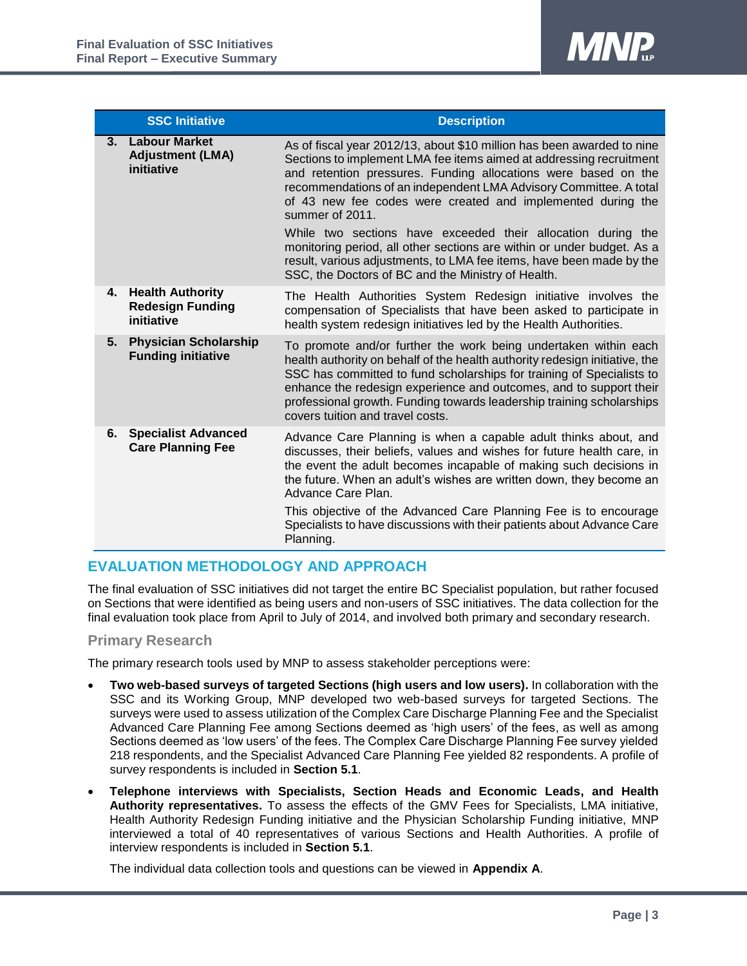

|    | <b>SSC Initiative</b>                                            | <b>Description</b>                                                                                                                                                                                                                                                                                                                                                                                         |
|----|------------------------------------------------------------------|------------------------------------------------------------------------------------------------------------------------------------------------------------------------------------------------------------------------------------------------------------------------------------------------------------------------------------------------------------------------------------------------------------|
| 3. | <b>Labour Market</b><br><b>Adjustment (LMA)</b><br>initiative    | As of fiscal year 2012/13, about \$10 million has been awarded to nine<br>Sections to implement LMA fee items aimed at addressing recruitment<br>and retention pressures. Funding allocations were based on the<br>recommendations of an independent LMA Advisory Committee. A total<br>of 43 new fee codes were created and implemented during the<br>summer of 2011.                                     |
|    |                                                                  | While two sections have exceeded their allocation during the<br>monitoring period, all other sections are within or under budget. As a<br>result, various adjustments, to LMA fee items, have been made by the<br>SSC, the Doctors of BC and the Ministry of Health.                                                                                                                                       |
| 4. | <b>Health Authority</b><br><b>Redesign Funding</b><br>initiative | The Health Authorities System Redesign initiative involves the<br>compensation of Specialists that have been asked to participate in<br>health system redesign initiatives led by the Health Authorities.                                                                                                                                                                                                  |
| 5. | <b>Physician Scholarship</b><br><b>Funding initiative</b>        | To promote and/or further the work being undertaken within each<br>health authority on behalf of the health authority redesign initiative, the<br>SSC has committed to fund scholarships for training of Specialists to<br>enhance the redesign experience and outcomes, and to support their<br>professional growth. Funding towards leadership training scholarships<br>covers tuition and travel costs. |
|    | <b>6.</b> Specialist Advanced<br><b>Care Planning Fee</b>        | Advance Care Planning is when a capable adult thinks about, and<br>discusses, their beliefs, values and wishes for future health care, in<br>the event the adult becomes incapable of making such decisions in<br>the future. When an adult's wishes are written down, they become an<br>Advance Care Plan.                                                                                                |
|    |                                                                  | This objective of the Advanced Care Planning Fee is to encourage<br>Specialists to have discussions with their patients about Advance Care<br>Planning.                                                                                                                                                                                                                                                    |

#### **EVALUATION METHODOLOGY AND APPROACH**

The final evaluation of SSC initiatives did not target the entire BC Specialist population, but rather focused on Sections that were identified as being users and non-users of SSC initiatives. The data collection for the final evaluation took place from April to July of 2014, and involved both primary and secondary research.

#### **Primary Research**

The primary research tools used by MNP to assess stakeholder perceptions were:

- **Two web-based surveys of targeted Sections (high users and low users).** In collaboration with the SSC and its Working Group, MNP developed two web-based surveys for targeted Sections. The surveys were used to assess utilization of the Complex Care Discharge Planning Fee and the Specialist Advanced Care Planning Fee among Sections deemed as 'high users' of the fees, as well as among Sections deemed as 'low users' of the fees. The Complex Care Discharge Planning Fee survey yielded 218 respondents, and the Specialist Advanced Care Planning Fee yielded 82 respondents. A profile of survey respondents is included in **Section 5.1**.
- **Telephone interviews with Specialists, Section Heads and Economic Leads, and Health Authority representatives.** To assess the effects of the GMV Fees for Specialists, LMA initiative, Health Authority Redesign Funding initiative and the Physician Scholarship Funding initiative, MNP interviewed a total of 40 representatives of various Sections and Health Authorities. A profile of interview respondents is included in **Section 5.1**.

The individual data collection tools and questions can be viewed in **Appendix A**.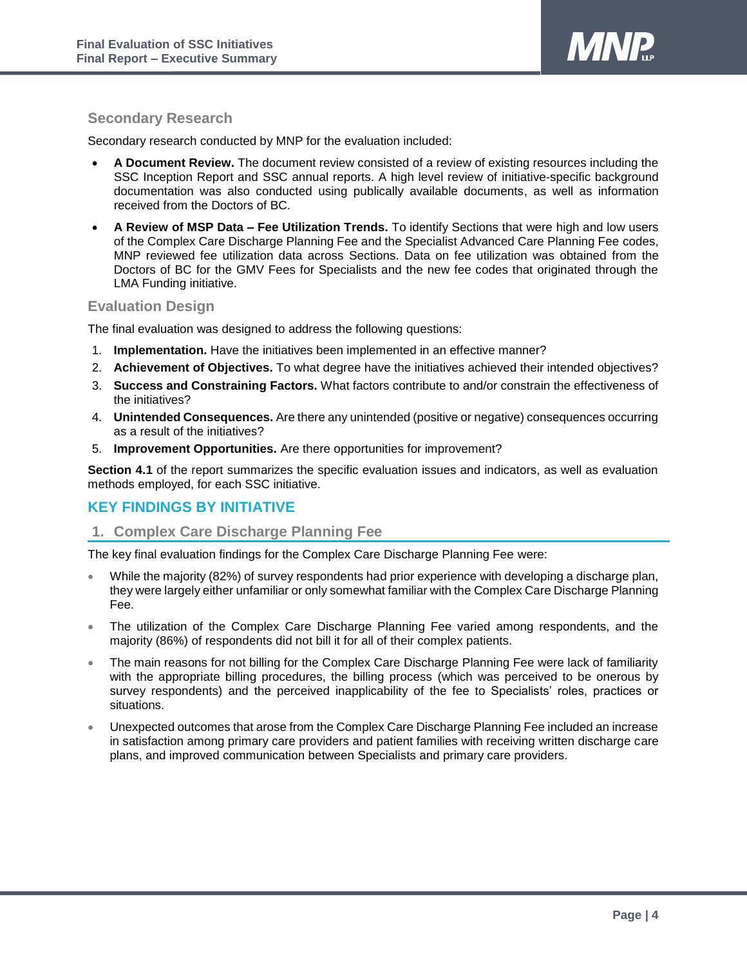

#### **Secondary Research**

Secondary research conducted by MNP for the evaluation included:

- **A Document Review.** The document review consisted of a review of existing resources including the SSC Inception Report and SSC annual reports. A high level review of initiative-specific background documentation was also conducted using publically available documents, as well as information received from the Doctors of BC.
- **A Review of MSP Data – Fee Utilization Trends.** To identify Sections that were high and low users of the Complex Care Discharge Planning Fee and the Specialist Advanced Care Planning Fee codes, MNP reviewed fee utilization data across Sections. Data on fee utilization was obtained from the Doctors of BC for the GMV Fees for Specialists and the new fee codes that originated through the LMA Funding initiative.

#### **Evaluation Design**

The final evaluation was designed to address the following questions:

- 1. **Implementation.** Have the initiatives been implemented in an effective manner?
- 2. **Achievement of Objectives.** To what degree have the initiatives achieved their intended objectives?
- 3. **Success and Constraining Factors.** What factors contribute to and/or constrain the effectiveness of the initiatives?
- 4. **Unintended Consequences.** Are there any unintended (positive or negative) consequences occurring as a result of the initiatives?
- 5. **Improvement Opportunities.** Are there opportunities for improvement?

**Section 4.1** of the report summarizes the specific evaluation issues and indicators, as well as evaluation methods employed, for each SSC initiative.

#### **KEY FINDINGS BY INITIATIVE**

#### **1. Complex Care Discharge Planning Fee**

The key final evaluation findings for the Complex Care Discharge Planning Fee were:

- While the majority (82%) of survey respondents had prior experience with developing a discharge plan, they were largely either unfamiliar or only somewhat familiar with the Complex Care Discharge Planning Fee.
- The utilization of the Complex Care Discharge Planning Fee varied among respondents, and the majority (86%) of respondents did not bill it for all of their complex patients.
- The main reasons for not billing for the Complex Care Discharge Planning Fee were lack of familiarity with the appropriate billing procedures, the billing process (which was perceived to be onerous by survey respondents) and the perceived inapplicability of the fee to Specialists' roles, practices or situations.
- Unexpected outcomes that arose from the Complex Care Discharge Planning Fee included an increase in satisfaction among primary care providers and patient families with receiving written discharge care plans, and improved communication between Specialists and primary care providers.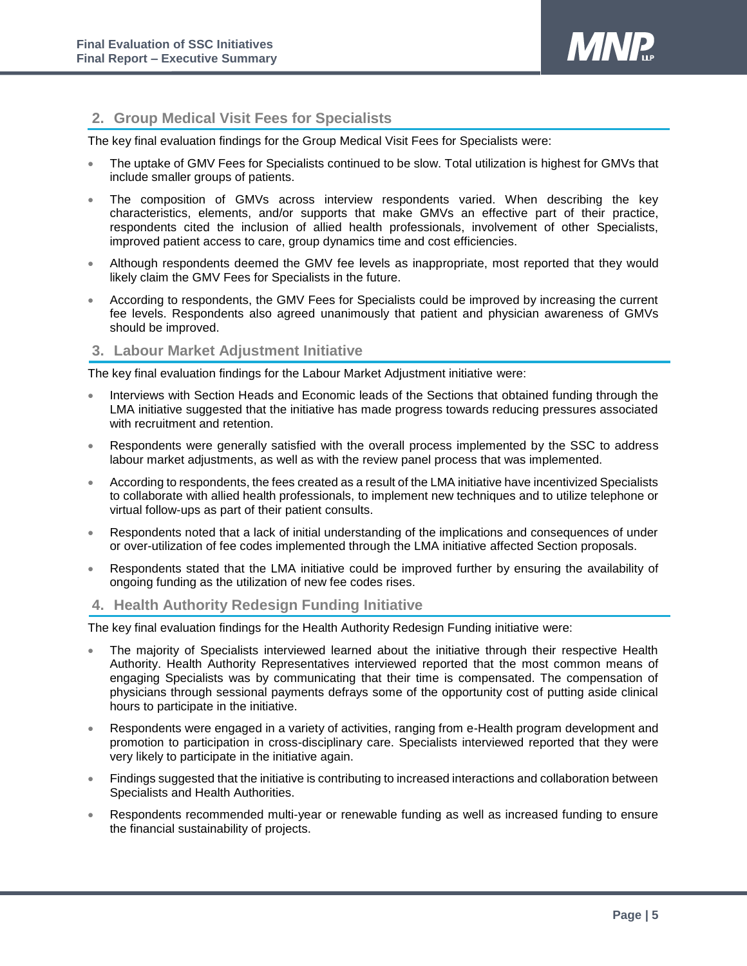

#### **2. Group Medical Visit Fees for Specialists**

The key final evaluation findings for the Group Medical Visit Fees for Specialists were:

- The uptake of GMV Fees for Specialists continued to be slow. Total utilization is highest for GMVs that include smaller groups of patients.
- The composition of GMVs across interview respondents varied. When describing the key characteristics, elements, and/or supports that make GMVs an effective part of their practice, respondents cited the inclusion of allied health professionals, involvement of other Specialists, improved patient access to care, group dynamics time and cost efficiencies.
- Although respondents deemed the GMV fee levels as inappropriate, most reported that they would likely claim the GMV Fees for Specialists in the future.
- According to respondents, the GMV Fees for Specialists could be improved by increasing the current fee levels. Respondents also agreed unanimously that patient and physician awareness of GMVs should be improved.

#### **3. Labour Market Adjustment Initiative**

The key final evaluation findings for the Labour Market Adjustment initiative were:

- Interviews with Section Heads and Economic leads of the Sections that obtained funding through the LMA initiative suggested that the initiative has made progress towards reducing pressures associated with recruitment and retention.
- Respondents were generally satisfied with the overall process implemented by the SSC to address labour market adjustments, as well as with the review panel process that was implemented.
- According to respondents, the fees created as a result of the LMA initiative have incentivized Specialists to collaborate with allied health professionals, to implement new techniques and to utilize telephone or virtual follow-ups as part of their patient consults.
- Respondents noted that a lack of initial understanding of the implications and consequences of under or over-utilization of fee codes implemented through the LMA initiative affected Section proposals.
- Respondents stated that the LMA initiative could be improved further by ensuring the availability of ongoing funding as the utilization of new fee codes rises.

#### **4. Health Authority Redesign Funding Initiative**

The key final evaluation findings for the Health Authority Redesign Funding initiative were:

- The majority of Specialists interviewed learned about the initiative through their respective Health Authority. Health Authority Representatives interviewed reported that the most common means of engaging Specialists was by communicating that their time is compensated. The compensation of physicians through sessional payments defrays some of the opportunity cost of putting aside clinical hours to participate in the initiative.
- Respondents were engaged in a variety of activities, ranging from e-Health program development and promotion to participation in cross-disciplinary care. Specialists interviewed reported that they were very likely to participate in the initiative again.
- Findings suggested that the initiative is contributing to increased interactions and collaboration between Specialists and Health Authorities.
- Respondents recommended multi-year or renewable funding as well as increased funding to ensure the financial sustainability of projects.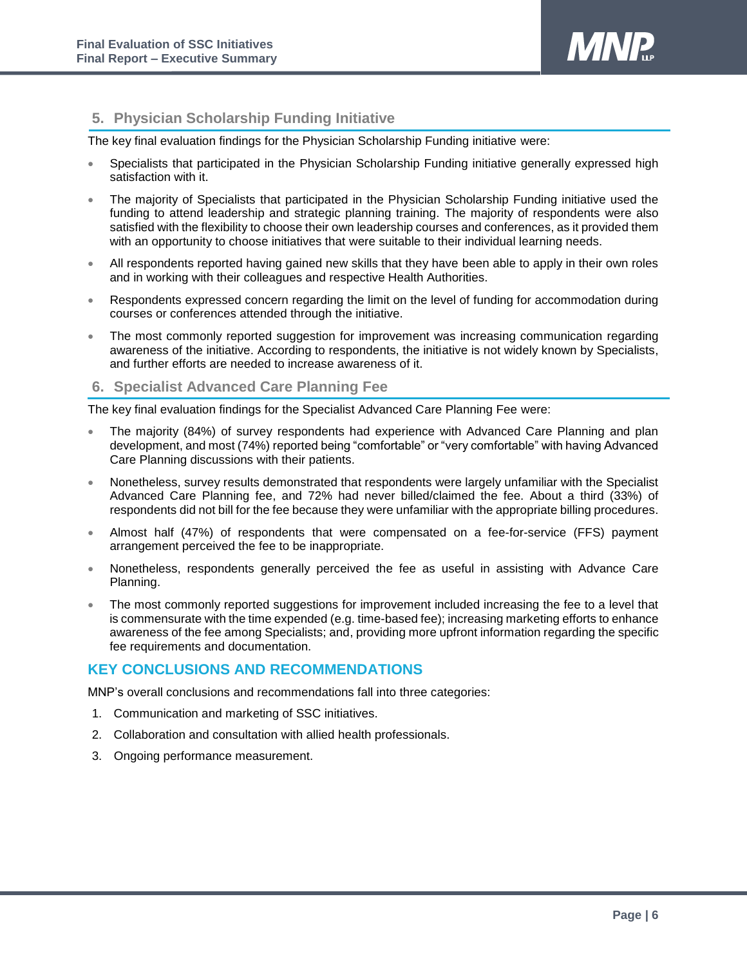

#### **5. Physician Scholarship Funding Initiative**

The key final evaluation findings for the Physician Scholarship Funding initiative were:

- Specialists that participated in the Physician Scholarship Funding initiative generally expressed high satisfaction with it.
- The majority of Specialists that participated in the Physician Scholarship Funding initiative used the funding to attend leadership and strategic planning training. The majority of respondents were also satisfied with the flexibility to choose their own leadership courses and conferences, as it provided them with an opportunity to choose initiatives that were suitable to their individual learning needs.
- All respondents reported having gained new skills that they have been able to apply in their own roles and in working with their colleagues and respective Health Authorities.
- Respondents expressed concern regarding the limit on the level of funding for accommodation during courses or conferences attended through the initiative.
- The most commonly reported suggestion for improvement was increasing communication regarding awareness of the initiative. According to respondents, the initiative is not widely known by Specialists, and further efforts are needed to increase awareness of it.

#### **6. Specialist Advanced Care Planning Fee**

The key final evaluation findings for the Specialist Advanced Care Planning Fee were:

- The majority (84%) of survey respondents had experience with Advanced Care Planning and plan development, and most (74%) reported being "comfortable" or "very comfortable" with having Advanced Care Planning discussions with their patients.
- Nonetheless, survey results demonstrated that respondents were largely unfamiliar with the Specialist Advanced Care Planning fee, and 72% had never billed/claimed the fee. About a third (33%) of respondents did not bill for the fee because they were unfamiliar with the appropriate billing procedures.
- Almost half (47%) of respondents that were compensated on a fee-for-service (FFS) payment arrangement perceived the fee to be inappropriate.
- Nonetheless, respondents generally perceived the fee as useful in assisting with Advance Care Planning.
- The most commonly reported suggestions for improvement included increasing the fee to a level that is commensurate with the time expended (e.g. time-based fee); increasing marketing efforts to enhance awareness of the fee among Specialists; and, providing more upfront information regarding the specific fee requirements and documentation.

#### **KEY CONCLUSIONS AND RECOMMENDATIONS**

MNP's overall conclusions and recommendations fall into three categories:

- 1. Communication and marketing of SSC initiatives.
- 2. Collaboration and consultation with allied health professionals.
- 3. Ongoing performance measurement.